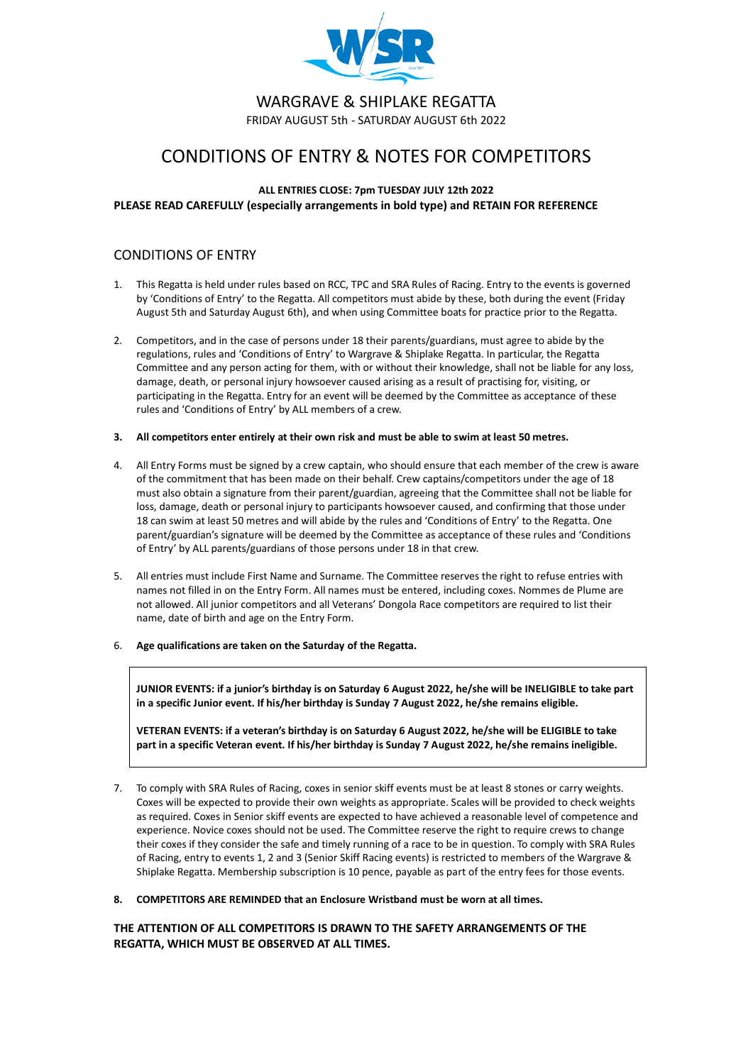

WARGRAVE & SHIPLAKE REGATTA FRIDAY AUGUST 5th - SATURDAY AUGUST 6th 2022

# CONDITIONS OF ENTRY & NOTES FOR COMPETITORS

# **ALL ENTRIES CLOSE: 7pm TUESDAY JULY 12th 2022 PLEASE READ CAREFULLY (especially arrangements in bold type) and RETAIN FOR REFERENCE**

# CONDITIONS OF ENTRY

- 1. This Regatta is held under rules based on RCC, TPC and SRA Rules of Racing. Entry to the events is governed by 'Conditions of Entry' to the Regatta. All competitors must abide by these, both during the event (Friday August 5th and Saturday August 6th), and when using Committee boats for practice prior to the Regatta.
- 2. Competitors, and in the case of persons under 18 their parents/guardians, must agree to abide by the regulations, rules and 'Conditions of Entry' to Wargrave & Shiplake Regatta. In particular, the Regatta Committee and any person acting for them, with or without their knowledge, shall not be liable for any loss, damage, death, or personal injury howsoever caused arising as a result of practising for, visiting, or participating in the Regatta. Entry for an event will be deemed by the Committee as acceptance of these rules and 'Conditions of Entry' by ALL members of a crew.
- **3. All competitors enter entirely at their own risk and must be able to swim at least 50 metres.**
- 4. All Entry Forms must be signed by a crew captain, who should ensure that each member of the crew is aware of the commitment that has been made on their behalf. Crew captains/competitors under the age of 18 must also obtain a signature from their parent/guardian, agreeing that the Committee shall not be liable for loss, damage, death or personal injury to participants howsoever caused, and confirming that those under 18 can swim at least 50 metres and will abide by the rules and 'Conditions of Entry' to the Regatta. One parent/guardian's signature will be deemed by the Committee as acceptance of these rules and 'Conditions of Entry' by ALL parents/guardians of those persons under 18 in that crew.
- 5. All entries must include First Name and Surname. The Committee reserves the right to refuse entries with names not filled in on the Entry Form. All names must be entered, including coxes. Nommes de Plume are not allowed. All junior competitors and all Veterans' Dongola Race competitors are required to list their name, date of birth and age on the Entry Form.
- 6. **Age qualifications are taken on the Saturday of the Regatta.**

**JUNIOR EVENTS: if a junior's birthday is on Saturday 6 August 2022, he/she will be INELIGIBLE to take part in a specific Junior event. If his/her birthday is Sunday 7 August 2022, he/she remains eligible.**

**VETERAN EVENTS: if a veteran's birthday is on Saturday 6 August 2022, he/she will be ELIGIBLE to take part in a specific Veteran event. If his/her birthday is Sunday 7 August 2022, he/she remains ineligible.**

- 7. To comply with SRA Rules of Racing, coxes in senior skiff events must be at least 8 stones or carry weights. Coxes will be expected to provide their own weights as appropriate. Scales will be provided to check weights as required. Coxes in Senior skiff events are expected to have achieved a reasonable level of competence and experience. Novice coxes should not be used. The Committee reserve the right to require crews to change their coxes if they consider the safe and timely running of a race to be in question. To comply with SRA Rules of Racing, entry to events 1, 2 and 3 (Senior Skiff Racing events) is restricted to members of the Wargrave & Shiplake Regatta. Membership subscription is 10 pence, payable as part of the entry fees for those events.
- **8. COMPETITORS ARE REMINDED that an Enclosure Wristband must be worn at all times.**

**THE ATTENTION OF ALL COMPETITORS IS DRAWN TO THE SAFETY ARRANGEMENTS OF THE REGATTA, WHICH MUST BE OBSERVED AT ALL TIMES.**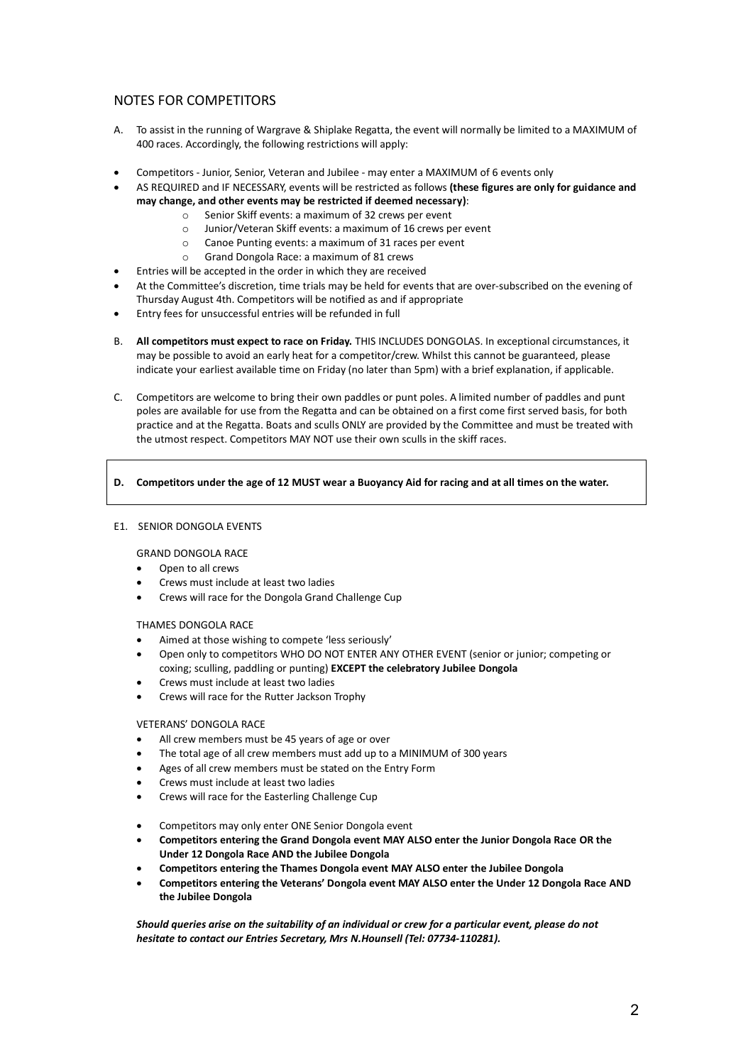# NOTES FOR COMPETITORS

- A. To assist in the running of Wargrave & Shiplake Regatta, the event will normally be limited to a MAXIMUM of 400 races. Accordingly, the following restrictions will apply:
- Competitors Junior, Senior, Veteran and Jubilee may enter a MAXIMUM of 6 events only
- AS REQUIRED and IF NECESSARY, events will be restricted as follows **(these figures are only for guidance and may change, and other events may be restricted if deemed necessary)**:
	- o Senior Skiff events: a maximum of 32 crews per event
	- o Junior/Veteran Skiff events: a maximum of 16 crews per event
	- o Canoe Punting events: a maximum of 31 races per event
	- o Grand Dongola Race: a maximum of 81 crews
- Entries will be accepted in the order in which they are received
- At the Committee's discretion, time trials may be held for events that are over-subscribed on the evening of Thursday August 4th. Competitors will be notified as and if appropriate
- Entry fees for unsuccessful entries will be refunded in full
- B. **All competitors must expect to race on Friday.** THIS INCLUDES DONGOLAS. In exceptional circumstances, it may be possible to avoid an early heat for a competitor/crew. Whilst this cannot be guaranteed, please indicate your earliest available time on Friday (no later than 5pm) with a brief explanation, if applicable.
- C. Competitors are welcome to bring their own paddles or punt poles. A limited number of paddles and punt poles are available for use from the Regatta and can be obtained on a first come first served basis, for both practice and at the Regatta. Boats and sculls ONLY are provided by the Committee and must be treated with the utmost respect. Competitors MAY NOT use their own sculls in the skiff races.

#### **D. Competitors under the age of 12 MUST wear a Buoyancy Aid for racing and at all times on the water.**

#### E1. SENIOR DONGOLA EVENTS

## GRAND DONGOLA RACE

- Open to all crews
- Crews must include at least two ladies
- Crews will race for the Dongola Grand Challenge Cup

#### THAMES DONGOLA RACE

- Aimed at those wishing to compete 'less seriously'
- Open only to competitors WHO DO NOT ENTER ANY OTHER EVENT (senior or junior; competing or coxing; sculling, paddling or punting) **EXCEPT the celebratory Jubilee Dongola**
- Crews must include at least two ladies
- Crews will race for the Rutter Jackson Trophy

# VETERANS' DONGOLA RACE

- All crew members must be 45 years of age or over
- The total age of all crew members must add up to a MINIMUM of 300 years
- Ages of all crew members must be stated on the Entry Form
- Crews must include at least two ladies
- Crews will race for the Easterling Challenge Cup
- Competitors may only enter ONE Senior Dongola event
- **Competitors entering the Grand Dongola event MAY ALSO enter the Junior Dongola Race OR the Under 12 Dongola Race AND the Jubilee Dongola**
- **Competitors entering the Thames Dongola event MAY ALSO enter the Jubilee Dongola**
- **Competitors entering the Veterans' Dongola event MAY ALSO enter the Under 12 Dongola Race AND the Jubilee Dongola**

*Should queries arise on the suitability of an individual or crew for a particular event, please do not hesitate to contact our Entries Secretary, Mrs N.Hounsell (Tel: 07734-110281).*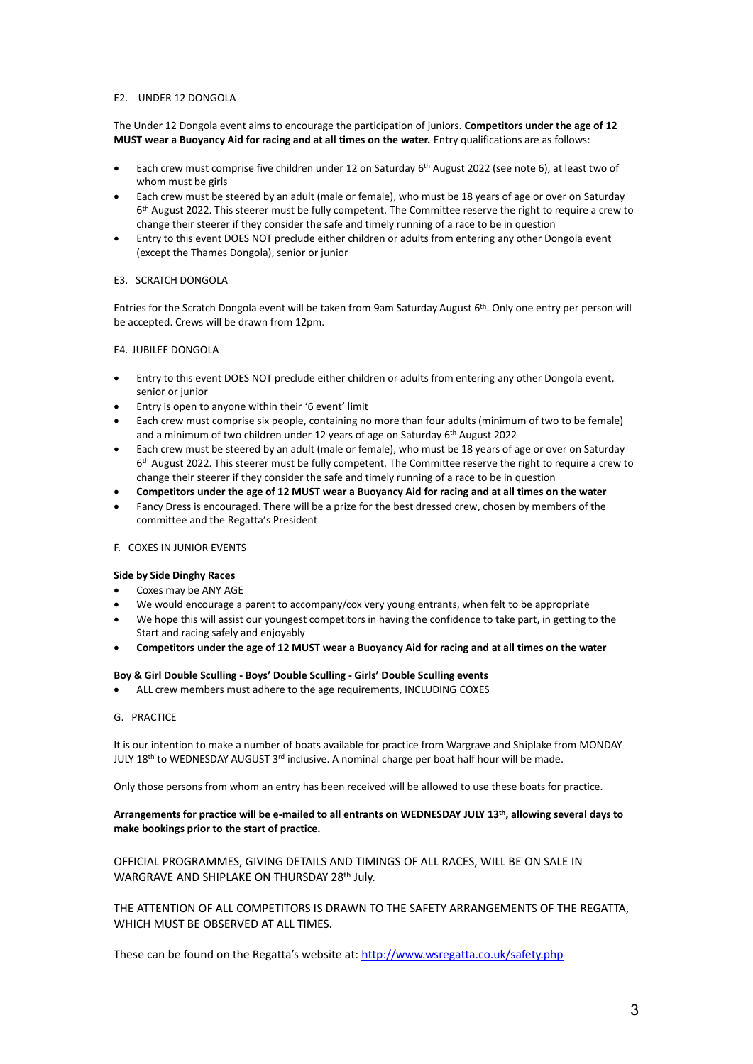#### E2. UNDER 12 DONGOLA

The Under 12 Dongola event aims to encourage the participation of juniors. **Competitors under the age of 12 MUST wear a Buoyancy Aid for racing and at all times on the water.** Entry qualifications are as follows:

- Each crew must comprise five children under 12 on Saturday 6<sup>th</sup> August 2022 (see note 6), at least two of whom must be girls
- Each crew must be steered by an adult (male or female), who must be 18 years of age or over on Saturday 6<sup>th</sup> August 2022. This steerer must be fully competent. The Committee reserve the right to require a crew to change their steerer if they consider the safe and timely running of a race to be in question
- Entry to this event DOES NOT preclude either children or adults from entering any other Dongola event (except the Thames Dongola), senior or junior

#### E3. SCRATCH DONGOLA

Entries for the Scratch Dongola event will be taken from 9am Saturday August 6<sup>th</sup>. Only one entry per person will be accepted. Crews will be drawn from 12pm.

#### E4. JUBILEE DONGOLA

- Entry to this event DOES NOT preclude either children or adults from entering any other Dongola event, senior or junior
- Entry is open to anyone within their '6 event' limit
- Each crew must comprise six people, containing no more than four adults (minimum of two to be female) and a minimum of two children under 12 years of age on Saturday 6<sup>th</sup> August 2022
- Each crew must be steered by an adult (male or female), who must be 18 years of age or over on Saturday 6<sup>th</sup> August 2022. This steerer must be fully competent. The Committee reserve the right to require a crew to change their steerer if they consider the safe and timely running of a race to be in question
- **Competitors under the age of 12 MUST wear a Buoyancy Aid for racing and at all times on the water**
- Fancy Dress is encouraged. There will be a prize for the best dressed crew, chosen by members of the committee and the Regatta's President

#### F. COXES IN JUNIOR EVENTS

#### **Side by Side Dinghy Races**

- Coxes may be ANY AGE
- We would encourage a parent to accompany/cox very young entrants, when felt to be appropriate
- We hope this will assist our youngest competitors in having the confidence to take part, in getting to the Start and racing safely and enjoyably
- **Competitors under the age of 12 MUST wear a Buoyancy Aid for racing and at all times on the water**

#### **Boy & Girl Double Sculling - Boys' Double Sculling - Girls' Double Sculling events**

- ALL crew members must adhere to the age requirements, INCLUDING COXES
- G. PRACTICE

It is our intention to make a number of boats available for practice from Wargrave and Shiplake from MONDAY JULY 18<sup>th</sup> to WEDNESDAY AUGUST 3<sup>rd</sup> inclusive. A nominal charge per boat half hour will be made.

Only those persons from whom an entry has been received will be allowed to use these boats for practice.

#### **Arrangements for practice will be e-mailed to all entrants on WEDNESDAY JULY 13 th , allowing several days to make bookings prior to the start of practice.**

OFFICIAL PROGRAMMES, GIVING DETAILS AND TIMINGS OF ALL RACES, WILL BE ON SALE IN WARGRAVE AND SHIPLAKE ON THURSDAY 28<sup>th</sup> July.

THE ATTENTION OF ALL COMPETITORS IS DRAWN TO THE SAFETY ARRANGEMENTS OF THE REGATTA, WHICH MUST BE OBSERVED AT ALL TIMES.

These can be found on the Regatta's website at[: http://www.wsregatta.co.uk/safety.php](http://www.wsregatta.co.uk/safety.php)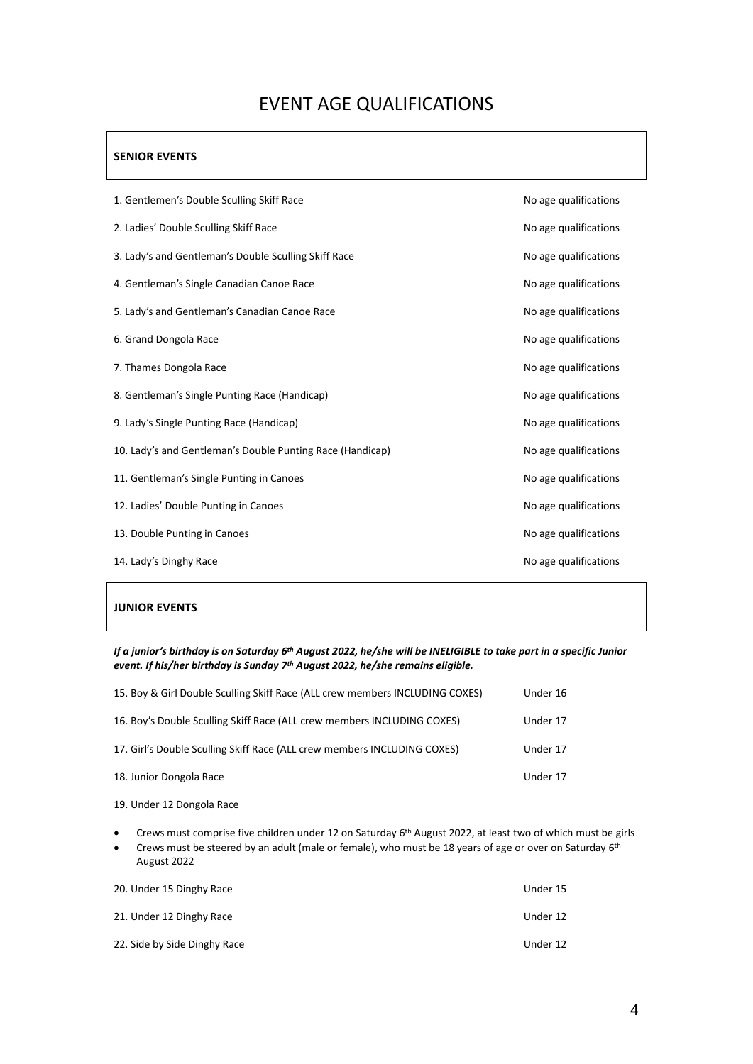# EVENT AGE QUALIFICATIONS

# **SENIOR EVENTS**

| No age qualifications |
|-----------------------|
| No age qualifications |
| No age qualifications |
| No age qualifications |
| No age qualifications |
| No age qualifications |
| No age qualifications |
| No age qualifications |
| No age qualifications |
| No age qualifications |
| No age qualifications |
| No age qualifications |
| No age qualifications |
| No age qualifications |
|                       |

# **JUNIOR EVENTS**

*If a junior's birthday is on Saturday 6 th August 2022, he/she will be INELIGIBLE to take part in a specific Junior event. If his/her birthday is Sunday 7 th August 2022, he/she remains eligible.*

| 15. Boy & Girl Double Sculling Skiff Race (ALL crew members INCLUDING COXES) | Under 16 |
|------------------------------------------------------------------------------|----------|
| 16. Boy's Double Sculling Skiff Race (ALL crew members INCLUDING COXES)      | Under 17 |
| 17. Girl's Double Sculling Skiff Race (ALL crew members INCLUDING COXES)     | Under 17 |
| 18. Junior Dongola Race                                                      | Under 17 |

- 19. Under 12 Dongola Race
- Crews must comprise five children under 12 on Saturday 6<sup>th</sup> August 2022, at least two of which must be girls
- Crews must be steered by an adult (male or female), who must be 18 years of age or over on Saturday 6<sup>th</sup> August 2022

| 20. Under 15 Dinghy Race     | Under 15 |
|------------------------------|----------|
| 21. Under 12 Dinghy Race     | Under 12 |
| 22. Side by Side Dinghy Race | Under 12 |